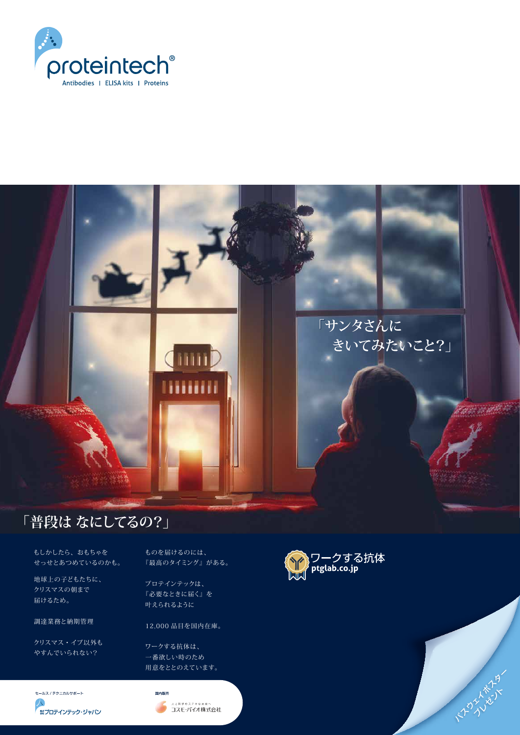

もしかしたら、おもちゃを

せっせとあつめているのかも。

地球上の子どもたちに、 クリスマスの朝まで 届けるため。

調達業務と納期管理

クリスマス・イブ以外もやすんでいられない?

ものを届けるのには、



『最高のタイミング』がある。

プロテインテックは、 『必要なときに届く』を 叶えられるように

12,000 品目を国内在庫。

ワークする抗体は、 一番欲しい時のため用意をととのえています。

セールス / テクニカルサポート

**A** 無プロテインテック・ジャパン





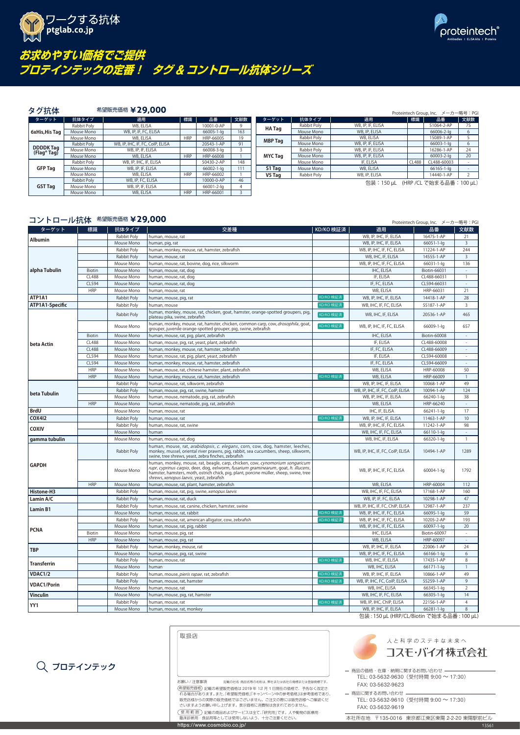



# **お求めやすい価格でご提供 プロテインテックの定番! タグ** & **コントロール抗体シリーズ**





#### 商品の価格・在庫・納期に関するお問い合わせ TEL: 03-5632-9630(受付時間 9:00 <sup>~</sup> 17:30) FAX: 03-5632-9623

商品に関するお問い合わせ TEL: 03-5632-9610(受付時間 9:00 <sup>~</sup> 17:30) FAX: 03-5632-9619

https://www.cosmobio.co.jp/ <sup>1</sup>3561

本社所在地 〒135-0016 東京都江東区東陽 2-2-20 東陽駅前ビル

|                    |               |                    |                                                                                                                                                                                                                                                                                                           |           |                                    | TIULEINLECH OIUUp, INC. ノ ノ 帽与・「U |                          |
|--------------------|---------------|--------------------|-----------------------------------------------------------------------------------------------------------------------------------------------------------------------------------------------------------------------------------------------------------------------------------------------------------|-----------|------------------------------------|-----------------------------------|--------------------------|
| ターゲット              | 標識            | 抗体タイプ              | 交差種                                                                                                                                                                                                                                                                                                       | KD/KO 検証済 | 適用                                 | 品番                                | 文献数                      |
| <b>Albumin</b>     |               | Rabbit Poly        | human, mouse, rat                                                                                                                                                                                                                                                                                         |           | WB, IP, IHC, IF, ELISA             | 16475-1-AP                        | 21                       |
|                    |               | Mouse Mono         | human, pig, rat                                                                                                                                                                                                                                                                                           |           | WB, IP, IHC, IF, ELISA             | $66051 - 1 - 1q$                  | $\overline{3}$           |
|                    |               | Rabbit Poly        | human, monkey, mouse, rat, hamster, zebrafish                                                                                                                                                                                                                                                             |           | WB, IP, IHC, IF, FC, ELISA         | 11224-1-AP                        | 244                      |
|                    |               | Rabbit Poly        | human, mouse, rat                                                                                                                                                                                                                                                                                         |           | WB, IHC, IF, ELISA                 | 14555-1-AP                        | $\overline{3}$           |
|                    |               | Mouse Mono         | human, mouse, rat, bovine, dog, rice, silkworm                                                                                                                                                                                                                                                            |           | WB, IP, IHC, IF, FC, ELISA         | 66031-1-lg                        | 136                      |
| alpha Tubulin      | <b>Biotin</b> | Mouse Mono         | human, mouse, rat, dog                                                                                                                                                                                                                                                                                    |           | IHC, ELISA                         | Biotin-66031                      |                          |
|                    | <b>CL488</b>  | Mouse Mono         | human, mouse, rat, dog                                                                                                                                                                                                                                                                                    |           | IF, ELISA                          | CL488-66031                       | $\overline{1}$           |
|                    | CL594         | Mouse Mono         | human, mouse, rat, dog                                                                                                                                                                                                                                                                                    |           | IF, FC, ELISA                      | CL594-66031                       | $\sim$                   |
|                    | <b>HRP</b>    | Mouse Mono         | human, mouse, rat                                                                                                                                                                                                                                                                                         |           | WB, ELISA                          | HRP-66031                         | 21                       |
| ATP1A1             |               | Rabbit Poly        | human, mouse, pig, rat                                                                                                                                                                                                                                                                                    | KD/KO 検証済 | WB, IP, IHC, IF, ELISA             | 14418-1-AP                        | 28                       |
| ATP1A1-Specific    |               | Rabbit Poly        | human, mouse                                                                                                                                                                                                                                                                                              | KD/KO 検証済 | WB, IHC, IF, FC, ELISA             | 55187-1-AP                        | $\overline{3}$           |
|                    |               | Rabbit Poly        | human, monkey, mouse, rat, chicken, goat, hamster, orange-spotted groupers, pig,<br>plateau pika, swine, zebrafish                                                                                                                                                                                        | KD/KO 検証済 | WB, IHC, IF, ELISA                 | 20536-1-AP                        | 465                      |
|                    |               | Mouse Mono         | human, monkey, mouse, rat, hamster, chicken, common carp, cow, drosophila, goat,<br>grouper, juvenile orange-spotted grouper, pig, swine, zebrafish                                                                                                                                                       | KD/KO 検証済 | WB, IP, IHC, IF, FC, ELISA         | 66009-1-lg                        | 657                      |
|                    | <b>Biotin</b> | Mouse Mono         | human, mouse, rat, pig, plant, zebrafish                                                                                                                                                                                                                                                                  |           | IHC, ELISA                         | <b>Biotin-60008</b>               | $\overline{\phantom{a}}$ |
| beta Actin         | <b>CL488</b>  | Mouse Mono         | human, mouse, pig, rat, yeast, plant, zebrafish                                                                                                                                                                                                                                                           |           | IF, ELISA                          | CL488-60008                       |                          |
|                    | <b>CL488</b>  | Mouse Mono         | human, monkey, mouse, rat, hamster, zebrafish                                                                                                                                                                                                                                                             |           | IF, FC, ELISA                      | CL488-66009                       |                          |
|                    | CL594         | Mouse Mono         | human, mouse, rat, pig, plant, yeast, zebrafish                                                                                                                                                                                                                                                           |           | IF, ELISA                          | CL594-60008                       |                          |
|                    | CL594         | Mouse Mono         | human, monkey, mouse, rat, hamster, zebrafish                                                                                                                                                                                                                                                             |           | IF, FC, ELISA                      | CL594-66009                       |                          |
|                    | <b>HRP</b>    | Mouse Mono         | human, mouse, rat, chinese hamster, plant, zebrafish                                                                                                                                                                                                                                                      |           | WB, ELISA                          | HRP-60008                         | 50                       |
|                    | <b>HRP</b>    | Mouse Mono         | human, monkey, mouse, rat, hamster, zebrafish                                                                                                                                                                                                                                                             | KD/KO 検証済 | WB, ELISA                          | HRP-66009                         | $\overline{1}$           |
|                    |               | <b>Rabbit Poly</b> | human, mouse, rat, silkworm, zebrafish                                                                                                                                                                                                                                                                    |           | WB, IP, IHC, IF, ELISA             | 10068-1-AP                        | 49                       |
|                    |               | Rabbit Poly        | human, mouse, pig, rat, swine, hamster                                                                                                                                                                                                                                                                    |           | WB, IP, IHC, IF, FC, CoIP, ELISA   | 10094-1-AP                        | 124                      |
| beta Tubulin       |               | Mouse Mono         | human, mouse, nematode, pig, rat, zebrafish                                                                                                                                                                                                                                                               |           | WB, IP, IHC, IF, ELISA             | 66240-1-lg                        | 38                       |
|                    | <b>HRP</b>    | Mouse Mono         | human, mouse, nematode, pig, rat, zebrafish                                                                                                                                                                                                                                                               |           | WB, ELISA                          | HRP-66240                         |                          |
| <b>BrdU</b>        |               | Mouse Mono         | human, mouse, rat                                                                                                                                                                                                                                                                                         |           | IHC, IF, ELISA                     | 66241-1-lg                        | 17                       |
| <b>COX412</b>      |               | Rabbit Poly        |                                                                                                                                                                                                                                                                                                           | KD/KO 検証済 | WB, IP, IHC, IF, ELISA             | 11463-1-AP                        | 10                       |
|                    |               |                    | human, mouse, rat                                                                                                                                                                                                                                                                                         |           | WB, IP, IHC, IF, FC, ELISA         | 11242-1-AP                        | 98                       |
| <b>COXIV</b>       |               | Rabbit Poly        | human, mouse, rat, swine<br>human                                                                                                                                                                                                                                                                         |           | WB, IHC, IF, FC, ELISA             |                                   |                          |
|                    |               | Mouse Mono         |                                                                                                                                                                                                                                                                                                           |           |                                    | 66110-1-lg                        |                          |
| gamma tubulin      |               | Mouse Mono         | human, mouse, rat, dog                                                                                                                                                                                                                                                                                    |           | WB, IHC, IF, ELISA                 | 66320-1-lg                        | $\overline{1}$           |
|                    |               | Rabbit Poly        | human, mouse, rat, arabidopsis, c. elegans, corn, cow, dog, hamster, leeches,<br>monkey, mussel, oriental river prawns, pig, rabbit, sea cucumbers, sheep, silkworm,<br>swine, tree shrews, yeast, zebra finches, zebrafish                                                                               |           | WB, IP, IHC, IF, FC, CoIP, ELISA   | 10494-1-AP                        | 1289                     |
| <b>GAPDH</b>       |               | Mouse Mono         | human, monkey, mouse, rat, beagle, carp, chicken, cow, cynomorium songaricum<br>rupr, cyprinus carpio, deer, dog, eelworm, fusarium graminearum, goat, h. illucens,<br>hamster, hamsters, moth, ostrich chick, pig, plant, porcine müller, sheep, swine, tree<br>shrews, xenopus laevis, yeast, zebrafish |           | WB, IP, IHC, IF, FC, ELISA         | 60004-1-lg                        | 1792                     |
|                    | <b>HRP</b>    | Mouse Mono         | human, mouse, rat, plant, hamster, zebrafish                                                                                                                                                                                                                                                              |           | WB, ELISA                          | HRP-60004                         | 112                      |
| Histone-H3         |               | Rabbit Poly        | human, mouse, rat, pig, swine, xenopus laevis                                                                                                                                                                                                                                                             |           | WB, IHC, IF, FC, ELISA             | 17168-1-AP                        | 160                      |
| Lamin A/C          |               | Rabbit Poly        | human, mouse, rat, duck                                                                                                                                                                                                                                                                                   |           | WB, IP, IF, FC, ELISA              | 10298-1-AP                        | 47                       |
|                    |               | Rabbit Poly        | human, mouse, rat, canine, chicken, hamster, swine                                                                                                                                                                                                                                                        |           | WB, IP, IHC, IF, FC, ChIP, ELISA   | 12987-1-AP                        | 237                      |
| <b>Lamin B1</b>    |               | Mouse Mono         | human, mouse, rat, rabbit                                                                                                                                                                                                                                                                                 | KD/KO 検証済 | WB, IP, IHC, IF, FC, ELISA         | 66095-1-lg                        | 59                       |
|                    |               | Rabbit Poly        | human, mouse, rat, american alligator, cow, zebrafish                                                                                                                                                                                                                                                     | KD/KO 検証済 | WB, IP, IHC, IF, FC, ELISA         | 10205-2-AP                        | 193                      |
|                    |               | Mouse Mono         | human, mouse, rat, pig, rabbit                                                                                                                                                                                                                                                                            |           | WB, IP, IHC, IF, FC, ELISA         | 60097-1-lg                        | 20                       |
| <b>PCNA</b>        | <b>Biotin</b> | Mouse Mono         | human, mouse, pig, rat                                                                                                                                                                                                                                                                                    |           | IHC, ELISA                         | Biotin-60097                      |                          |
|                    | <b>HRP</b>    | Mouse Mono         | human, mouse, pig, rat                                                                                                                                                                                                                                                                                    |           | WB, ELISA                          | HRP-60097                         |                          |
| TBP                |               | Rabbit Poly        | human, monkey, mouse, rat                                                                                                                                                                                                                                                                                 |           | WB, IP, IHC, IF, ELISA             | 22006-1-AP                        | 24                       |
|                    |               | Mouse Mono         | human, mouse, pig, rat, swine                                                                                                                                                                                                                                                                             |           | WB, IP, IHC, IF, FC, ELISA         | $66166 - 1 - 1q$                  | 6                        |
|                    |               | Rabbit Poly        | human, mouse, rat                                                                                                                                                                                                                                                                                         | KD/KO 検証済 | WB, IHC, IF, ELISA                 | 17435-1-AP                        | 8                        |
| <b>Transferrin</b> |               | Mouse Mono         | human                                                                                                                                                                                                                                                                                                     |           | WB, IHC, ELISA                     | 66171-1-lg                        |                          |
| VDAC1/2            |               | Rabbit Poly        | human, mouse, pieris rapae, rat, zebrafish                                                                                                                                                                                                                                                                | KD/KO 検証済 | WB, IP, IHC, IF, ELISA             | 10866-1-AP                        | 49                       |
|                    |               | Rabbit Poly        | human, mouse, rat, hamster                                                                                                                                                                                                                                                                                | KD/KO 検証済 | WB, IP, IHC, FC, CoIP, ELISA       | 55259-1-AP                        | 9                        |
| <b>VDAC1/Porin</b> |               | Mouse Mono         | human, mouse, rat                                                                                                                                                                                                                                                                                         |           | WB, IHC, ELISA                     | 66345-1-lg                        | 2                        |
|                    |               |                    |                                                                                                                                                                                                                                                                                                           |           |                                    |                                   |                          |
| <b>Vinculin</b>    |               | Mouse Mono         | human, mouse, pig, rat, hamster                                                                                                                                                                                                                                                                           |           | WB, IHC, IF, FC, ELISA             | 66305-1-lg                        | 14                       |
| YY1                |               | Rabbit Poly        | human, mouse, rat                                                                                                                                                                                                                                                                                         | KD/KO 検証済 | WB, IP, IHC, ChIP, ELISA           | 22156-1-AP                        | 4                        |
|                    |               | Mouse Mono         | human, mouse, rat, monkey                                                                                                                                                                                                                                                                                 |           | WB, IP, IHC, IF, ELISA<br>10010101 | 66281-1-lg                        | 8                        |

包装 : 150 µL (HRP/CL/Biotin で始まる品番 : 100 µL)

|                                 |             |                                  |            |            |     |                |             |                                      |       | 110         | ---- |
|---------------------------------|-------------|----------------------------------|------------|------------|-----|----------------|-------------|--------------------------------------|-------|-------------|------|
| ターゲット                           | 抗体タイプ       | 適用                               | 標識         | 品番         | 文献数 | ターゲット          | 抗体タイプ       | 適用                                   | 標識    | 品番          | 文献数  |
|                                 | Rabbit Poly | WB, ELISA                        |            | 10001-0-AP |     | <b>HA Tag</b>  | Rabbit Poly | WB, IP, IF, ELISA                    |       | 51064-2-AP  | 75   |
| 6xHis, His Tag                  | Mouse Mono  | WB, IP, IF, FC, ELISA            |            | 66005-1-la | 163 |                | Mouse Mono  | WB, IP, ELISA                        |       | 66006-2-lg  | 6    |
|                                 | Mouse Mono  | WB, ELISA                        | <b>HRP</b> | HRP-66005  | 19  | <b>MBP Tag</b> | Rabbit Poly | WB, ELISA                            |       | 15089-1-AP  |      |
|                                 | Rabbit Poly | WB, IP, IHC, IF, FC, CoIP, ELISA |            | 20543-1-AP | 91  |                | Mouse Mono  | WB, IP, IF, ELISA                    |       | 66003-1-la  |      |
| <b>DDDDK</b> Tag<br>(Flag® Tag) | Mouse Mono  | WB, IP, IF, ELISA                |            | 66008-3-lg |     |                | Rabbit Poly | WB, IP, IF, ELISA                    |       | 16286-1-AP  | 24   |
|                                 | Mouse Mono  | WB, ELISA                        | <b>HRP</b> | HRP-66008  |     | <b>MYC Tag</b> | Mouse Mono  | WB, IP, IF, ELISA                    |       | 60003-2-lg  | 20   |
|                                 | Rabbit Poly | WB, IP, IHC, IF, ELISA           |            | 50430-2-AP | 148 |                | Mouse Mono  | IF, ELISA                            | CL488 | CL488-60003 |      |
| <b>GFP Tag</b>                  | Mouse Mono  | WB, IP, IF, ELISA                |            | 66002-1-la | 111 | S1 Tag         | Mouse Mono  | WB, ELISA                            |       | 66165-1-la  |      |
|                                 | Mouse Mono  | WB, ELISA                        | <b>HRP</b> | HRP-66002  |     | V5 Tag         | Rabbit Poly | WB, IP, ELISA                        |       | 14440-1-AP  |      |
|                                 | Rabbit Poly | WB, IP, FC, ELISA                |            | 10000-0-AP | 46  |                |             | 包装: 150 µL (HRP / CL で始まる品番: 100 µL) |       |             |      |
| <b>GST Tag</b>                  | Mouse Mono  | WB, IP, IF, ELISA                |            | 66001-2-la |     |                |             |                                      |       |             |      |
|                                 | Mouse Mono  | WB, ELISA                        | <b>HRP</b> | HRP-66001  |     |                |             |                                      |       |             |      |

## コントロール抗体 希望販売価格 ¥29,000 Proteintech Group, Inc. メーカー略号: PGI

### タグ抗体 希望販売価格 **¥29,000** Proteintech Group, Inc. メーカー略号:PGI

## プロテインテック